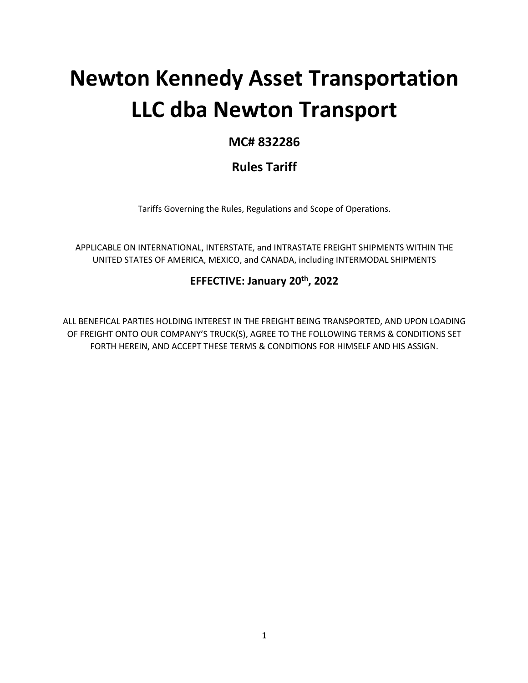# **Newton Kennedy Asset Transportation LLC dba Newton Transport**

# **MC# 832286**

# **Rules Tariff**

Tariffs Governing the Rules, Regulations and Scope of Operations.

APPLICABLE ON INTERNATIONAL, INTERSTATE, and INTRASTATE FREIGHT SHIPMENTS WITHIN THE UNITED STATES OF AMERICA, MEXICO, and CANADA, including INTERMODAL SHIPMENTS

## **EFFECTIVE: January 20th, 2022**

ALL BENEFICAL PARTIES HOLDING INTEREST IN THE FREIGHT BEING TRANSPORTED, AND UPON LOADING OF FREIGHT ONTO OUR COMPANY'S TRUCK(S), AGREE TO THE FOLLOWING TERMS & CONDITIONS SET FORTH HEREIN, AND ACCEPT THESE TERMS & CONDITIONS FOR HIMSELF AND HIS ASSIGN.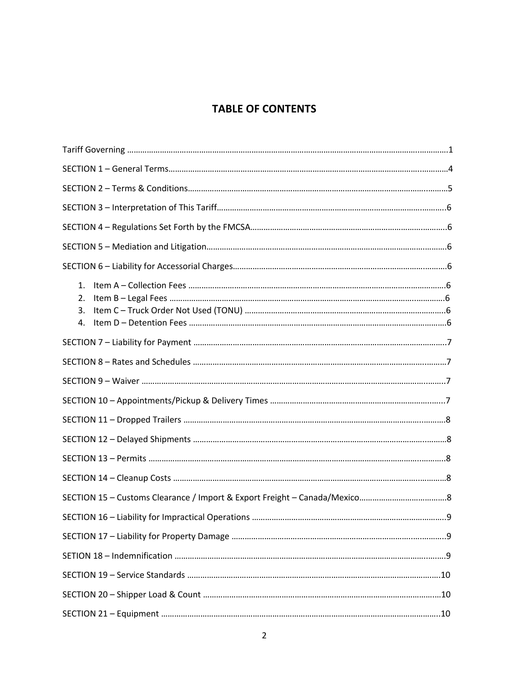# **TABLE OF CONTENTS**

| 1.<br>2.<br>3.<br>4. |  |
|----------------------|--|
|                      |  |
|                      |  |
|                      |  |
|                      |  |
|                      |  |
|                      |  |
|                      |  |
|                      |  |
|                      |  |
|                      |  |
|                      |  |
|                      |  |
|                      |  |
|                      |  |
|                      |  |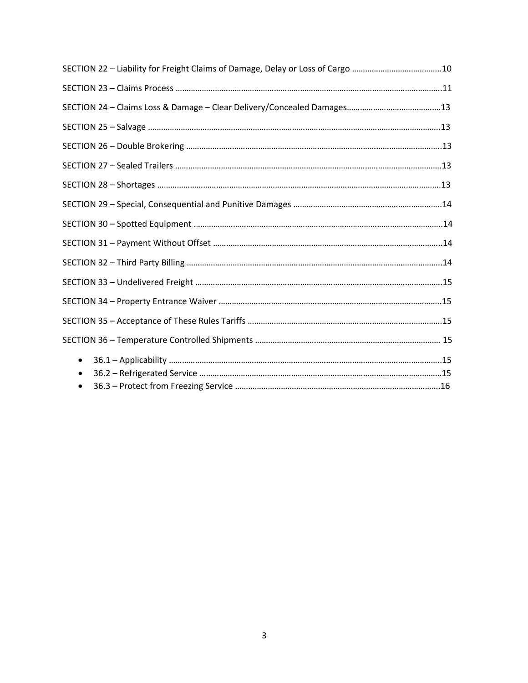| SECTION 22 - Liability for Freight Claims of Damage, Delay or Loss of Cargo 10 |  |
|--------------------------------------------------------------------------------|--|
|                                                                                |  |
|                                                                                |  |
|                                                                                |  |
|                                                                                |  |
|                                                                                |  |
|                                                                                |  |
|                                                                                |  |
|                                                                                |  |
|                                                                                |  |
|                                                                                |  |
|                                                                                |  |
|                                                                                |  |
|                                                                                |  |
|                                                                                |  |
| $\bullet$<br>$\bullet$                                                         |  |
|                                                                                |  |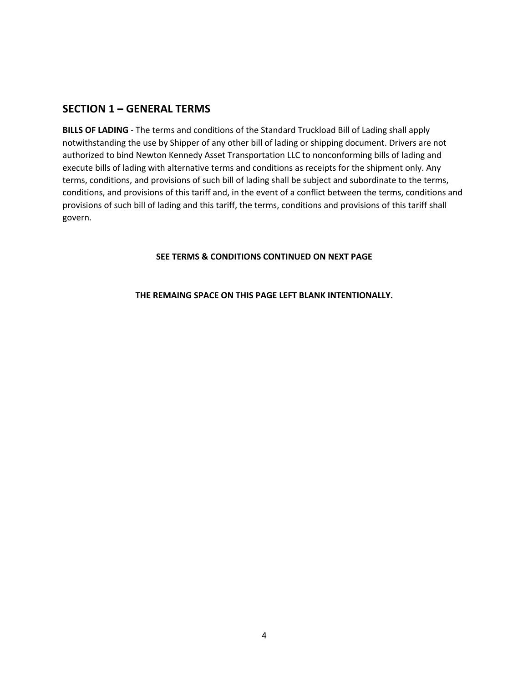#### **SECTION 1 – GENERAL TERMS**

**BILLS OF LADING** - The terms and conditions of the Standard Truckload Bill of Lading shall apply notwithstanding the use by Shipper of any other bill of lading or shipping document. Drivers are not authorized to bind Newton Kennedy Asset Transportation LLC to nonconforming bills of lading and execute bills of lading with alternative terms and conditions as receipts for the shipment only. Any terms, conditions, and provisions of such bill of lading shall be subject and subordinate to the terms, conditions, and provisions of this tariff and, in the event of a conflict between the terms, conditions and provisions of such bill of lading and this tariff, the terms, conditions and provisions of this tariff shall govern.

#### **SEE TERMS & CONDITIONS CONTINUED ON NEXT PAGE**

#### **THE REMAING SPACE ON THIS PAGE LEFT BLANK INTENTIONALLY.**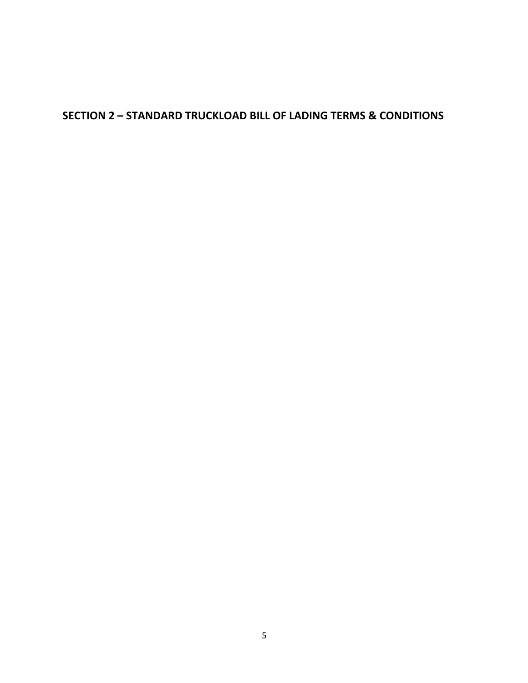# **SECTION 2 – STANDARD TRUCKLOAD BILL OF LADING TERMS & CONDITIONS**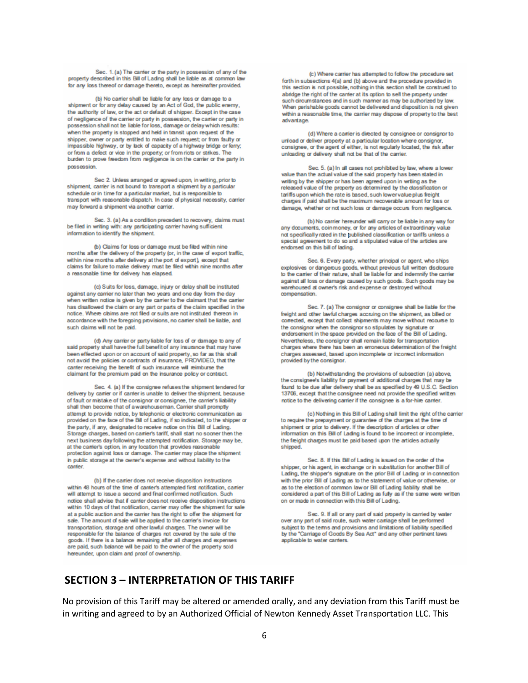Sec. 1. (a) The canter or the party in possession of any of the property described in this Bill of Lading shall be liable as at common law for any loss thereof or damage thereto, except as hereinafter provided.

(b) No carrier shall be liable for any loss or damage to a shipment or for any delay caused by an Act of God, the public enemy, the authority of law, or the act or default of shipper. Except in the case of negligence of the carrier or party in possession, the carrier or party in possession shall not be liable for loss, damage or delay which results: when the property is stopped and held in transit upon request of the shipper, owner or party entitled to make such request; or from faulty or impassible highway, or by lack of capacity of a highway bridge or ferry; or from a defect or vice in the property; or from riots or strikes. The burden to prove freedom from negligence is on the carrier or the party in possession

Sec 2. Unless arranged or agreed upon, in writing, prior to shipment, carrier is not bound to transport a shipment by a particular schedule or in time for a particular market, but is responsible to transport with reasonable dispatch. In case of physical necessity, carrier may forward a shipment via another carrier.

Sec. 3. (a) As a condition precedent to recovery, claims must be filed in writing with: any participating carrier having sufficient information to identify the shipment.

(b) Claims for loss or damage must be filed within nine months after the delivery of the property (or, in the case of export traffic, within nine morths after delivery at the port of export), except that claims for failure to make delivery must be filed within nine months after a reasonable time for delivery has elapsed.

(c) Suits for loss, damage, injury or delay shall be instituted against any carrier no later than two years and one day from the day when written notice is given by the carrier to the claimant that the carrier has disallowed the claim or any part or parts of the claim specified in the notice. Where claims are not filed or suits are not instituted thereon in accordance with the foregoing provisions, no carrier shall be liable, and such daims will not be paid.

(d) Any carrier or party liable for loss of or damage to any of said property shall have the full benefit of any insurance that may have been effected upon or on account of said property, so far as this shall not avoid the colicies or contracts of insurance. PROVIDED, that the carrier receiving the benefit of such insurance will reimburse the claimant for the premium paid on the insurance policy or contract.

Sec. 4. (a) If the consignee refuses the shipment tendered for delivery by carrier or if carrier is unable to deliver the shipment, because of fault or mistake of the consignor or consignee, the carrier's liability shall then become that of a warehouseman. Carrier shall promptly attempt to provide notice, by telephonic or electronic communication as provided on the face of the Bill of Lading, if so indicated, to the shipper or the party, if any, designated to receive notice on this Bill of Lading. Storage charges, based on carrier's tariff, shall start no sooner then the next business day following the attempted notification. Storage may be, at the carrier's option, in any location that provides reasonable<br>protection against loss or damage. The carrier may place the shipment in public storage at the owner's expense and without liability to the carrier.

(b) If the carrier does not receive disposition instructions within 48 hours of the time of carrier's attempted first notification, carrier will attempt to issue a second and final confirmed notification. Such notice shall advise that if canter does not receive disposition instructions within 10 days of that notification, carrier may offer the shipment for sale at a public auction and the carrier has the right to offer the shipment for sale. The amount of sale will be applied to the carrier's invoice for transportation, storage and other lawful charges. The owner will be responsible for the balance of charges not covered by the sale of the goods. If there is a balance remaining after all charges and expenses are paid, such balance will be paid to the owner of the property sold hereunder, upon claim and proof of ownership.

(c) Where carrier has attempted to follow the procedure set forth in subsections 4(a) and (b) above and the procedure provided in this section is not possible, nothing in this section shall be construed to abidge the right of the canter at its option to sell the property under such droumstances and in such manner as may be authorized by law. When perishable goods cannot be delivered and disposition is not given within a reasonable time, the carrier may dispose of property to the best advantage.

(d) Where a carrier is directed by consignee or consignor to unload or deliver property at a particular location where consignor, consignee, or the agent of either, is not regularly located, the risk after unloading or delivery shall not be that of the carrier.

Sec. 5. (a) In all cases not prohibited by law, where a low value than the actual value of the said property has been stated in writing by the shipper or has been agreed upon in writing as the released value of the property as determined by the classification or tariffs upon which the rate is based, such lower value plus freight charges if paid shall be the maximum recoverable amount for loss or damage, whether or not such loss or damage occurs from regligence.

(b) No carrier hereunder will carry or be liable in any way for any documents, coin money, or for any articles of extraordinary value not specifically rated in the published classification or tariffs unless a special agreement to do so and a stipulated value of the articles are endorsed on this bill of lading.

Sec. 6. Every party, whether principal or agent, who ships explosives or dangerous goods, without previous full written disclosure to the carrier of their nature, shall be liable for and indemnify the carrier against all loss or damage caused by such goods. Such goods may be warehoused at owner's risk and expense or destroved without compensation.

Sec. 7. (a) The consignor or consignee shall be liable for the freight and other lawful charges accruing on the shipment, as billed or corrected, except that collect shipments may move without recourse to the consignor when the consignor so stipulates by signature or endorsement in the space provided on the face of the Bill of Lading. Nevertheless, the consignor shall remain liable for transportation charges where there has been an erroneous determination of the freight charges assessed, based upon incomplete or incorrect information provided by the consignor.

(b) Notwithstanding the provisions of subsection (a) above. the consignee's liability for payment of additional charges that may be found to be due after delivery shall be as specified by 49 U.S.C. Section 13706, except that the consignee need not provide the specified written notice to the delivering carrier if the consignee is a for-hire carrier.

(c) Nothing in this Bill of Lading shall limit the right of the carrier to require the prepayment or guarantee of the charges at the time of shipment or prior to delivery. If the description of articles or other information on this Bill of Lading is found to be incorrect or incomplete, the freight charges must be paid based upon the articles actually shipped.

Sec. 8. If this Bill of Lading is issued on the order of the shipper, or his agent, in exchange or in substitution for another Bill of Lading, the shipper's signature on the prior Bill of Lading or in connection with the prior Bill of Lading as to the statement of value or otherwise, or as to the election of common law or Bill of Lading liability shall be considered a part of this Bill of Lading as fully as if the same were written on or made in connection with this Bill of Lading.

Sec. 9. If all or any part of said property is carried by water over any part of said route, such water carriage shall be performed subject to the terms and provisions and limitations of liability specified by the "Carriage of Goods By Sea Act" and any other pertinent laws applicable to water carriers.

#### **SECTION 3 – INTERPRETATION OF THIS TARIFF**

No provision of this Tariff may be altered or amended orally, and any deviation from this Tariff must be in writing and agreed to by an Authorized Official of Newton Kennedy Asset Transportation LLC. This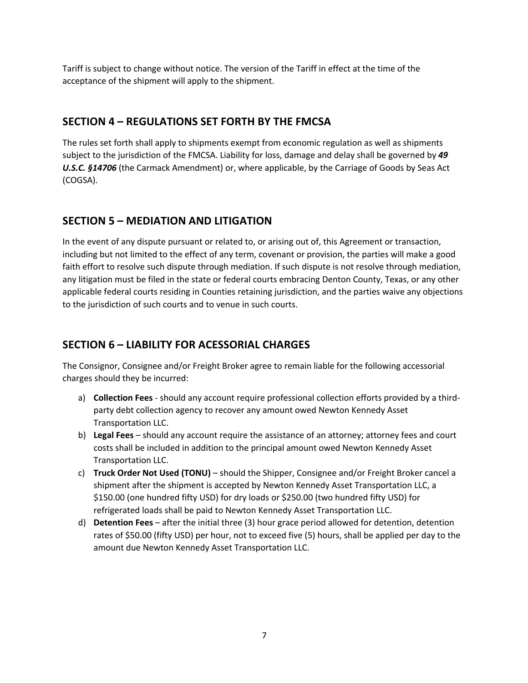Tariff is subject to change without notice. The version of the Tariff in effect at the time of the acceptance of the shipment will apply to the shipment.

## **SECTION 4 – REGULATIONS SET FORTH BY THE FMCSA**

The rules set forth shall apply to shipments exempt from economic regulation as well as shipments subject to the jurisdiction of the FMCSA. Liability for loss, damage and delay shall be governed by *49 U.S.C. §14706* (the Carmack Amendment) or, where applicable, by the Carriage of Goods by Seas Act (COGSA).

## **SECTION 5 – MEDIATION AND LITIGATION**

In the event of any dispute pursuant or related to, or arising out of, this Agreement or transaction, including but not limited to the effect of any term, covenant or provision, the parties will make a good faith effort to resolve such dispute through mediation. If such dispute is not resolve through mediation, any litigation must be filed in the state or federal courts embracing Denton County, Texas, or any other applicable federal courts residing in Counties retaining jurisdiction, and the parties waive any objections to the jurisdiction of such courts and to venue in such courts.

# **SECTION 6 – LIABILITY FOR ACESSORIAL CHARGES**

The Consignor, Consignee and/or Freight Broker agree to remain liable for the following accessorial charges should they be incurred:

- a) **Collection Fees** should any account require professional collection efforts provided by a thirdparty debt collection agency to recover any amount owed Newton Kennedy Asset Transportation LLC.
- b) **Legal Fees** should any account require the assistance of an attorney; attorney fees and court costs shall be included in addition to the principal amount owed Newton Kennedy Asset Transportation LLC.
- c) **Truck Order Not Used (TONU)** should the Shipper, Consignee and/or Freight Broker cancel a shipment after the shipment is accepted by Newton Kennedy Asset Transportation LLC, a \$150.00 (one hundred fifty USD) for dry loads or \$250.00 (two hundred fifty USD) for refrigerated loads shall be paid to Newton Kennedy Asset Transportation LLC.
- d) **Detention Fees** after the initial three (3) hour grace period allowed for detention, detention rates of \$50.00 (fifty USD) per hour, not to exceed five (5) hours, shall be applied per day to the amount due Newton Kennedy Asset Transportation LLC.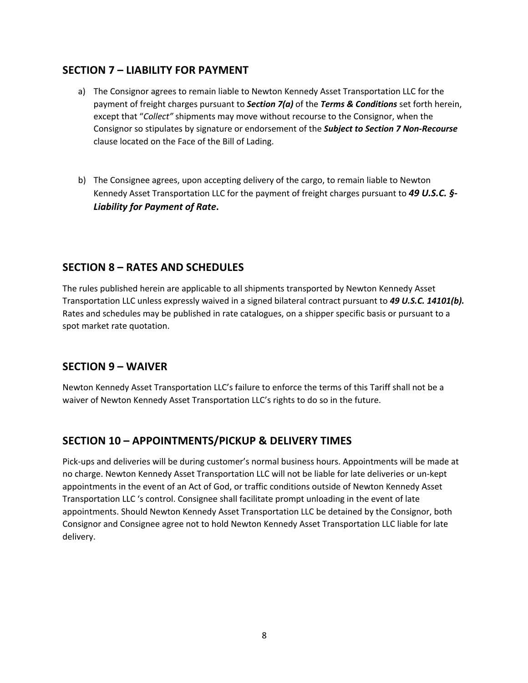#### **SECTION 7 – LIABILITY FOR PAYMENT**

- a) The Consignor agrees to remain liable to Newton Kennedy Asset Transportation LLC for the payment of freight charges pursuant to *Section 7(a)* of the *Terms & Conditions* set forth herein, except that "*Collect"* shipments may move without recourse to the Consignor, when the Consignor so stipulates by signature or endorsement of the *Subject to Section 7 Non-Recourse* clause located on the Face of the Bill of Lading.
- b) The Consignee agrees, upon accepting delivery of the cargo, to remain liable to Newton Kennedy Asset Transportation LLC for the payment of freight charges pursuant to *49 U.S.C. §- Liability for Payment of Rate***.**

## **SECTION 8 – RATES AND SCHEDULES**

The rules published herein are applicable to all shipments transported by Newton Kennedy Asset Transportation LLC unless expressly waived in a signed bilateral contract pursuant to *49 U.S.C. 14101(b).* Rates and schedules may be published in rate catalogues, on a shipper specific basis or pursuant to a spot market rate quotation.

## **SECTION 9 – WAIVER**

Newton Kennedy Asset Transportation LLC's failure to enforce the terms of this Tariff shall not be a waiver of Newton Kennedy Asset Transportation LLC's rights to do so in the future.

#### **SECTION 10 – APPOINTMENTS/PICKUP & DELIVERY TIMES**

Pick-ups and deliveries will be during customer's normal business hours. Appointments will be made at no charge. Newton Kennedy Asset Transportation LLC will not be liable for late deliveries or un-kept appointments in the event of an Act of God, or traffic conditions outside of Newton Kennedy Asset Transportation LLC 's control. Consignee shall facilitate prompt unloading in the event of late appointments. Should Newton Kennedy Asset Transportation LLC be detained by the Consignor, both Consignor and Consignee agree not to hold Newton Kennedy Asset Transportation LLC liable for late delivery.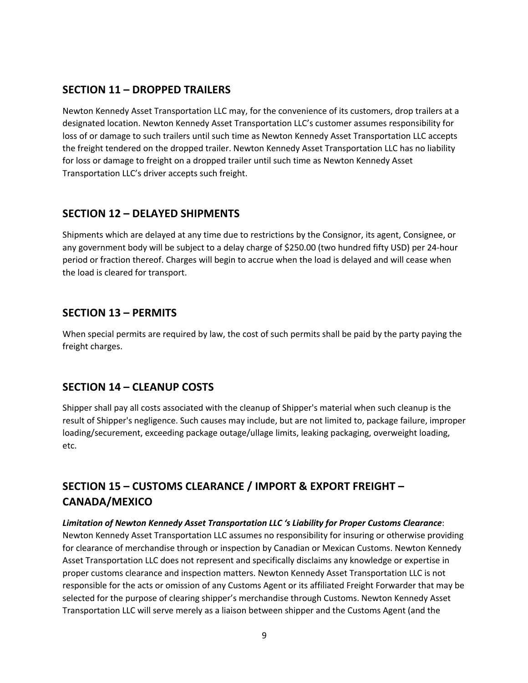#### **SECTION 11 – DROPPED TRAILERS**

Newton Kennedy Asset Transportation LLC may, for the convenience of its customers, drop trailers at a designated location. Newton Kennedy Asset Transportation LLC's customer assumes responsibility for loss of or damage to such trailers until such time as Newton Kennedy Asset Transportation LLC accepts the freight tendered on the dropped trailer. Newton Kennedy Asset Transportation LLC has no liability for loss or damage to freight on a dropped trailer until such time as Newton Kennedy Asset Transportation LLC's driver accepts such freight.

## **SECTION 12 – DELAYED SHIPMENTS**

Shipments which are delayed at any time due to restrictions by the Consignor, its agent, Consignee, or any government body will be subject to a delay charge of \$250.00 (two hundred fifty USD) per 24-hour period or fraction thereof. Charges will begin to accrue when the load is delayed and will cease when the load is cleared for transport.

#### **SECTION 13 – PERMITS**

When special permits are required by law, the cost of such permits shall be paid by the party paying the freight charges.

#### **SECTION 14 – CLEANUP COSTS**

Shipper shall pay all costs associated with the cleanup of Shipper's material when such cleanup is the result of Shipper's negligence. Such causes may include, but are not limited to, package failure, improper loading/securement, exceeding package outage/ullage limits, leaking packaging, overweight loading, etc.

# **SECTION 15 – CUSTOMS CLEARANCE / IMPORT & EXPORT FREIGHT – CANADA/MEXICO**

#### *Limitation of Newton Kennedy Asset Transportation LLC 's Liability for Proper Customs Clearance*:

Newton Kennedy Asset Transportation LLC assumes no responsibility for insuring or otherwise providing for clearance of merchandise through or inspection by Canadian or Mexican Customs. Newton Kennedy Asset Transportation LLC does not represent and specifically disclaims any knowledge or expertise in proper customs clearance and inspection matters. Newton Kennedy Asset Transportation LLC is not responsible for the acts or omission of any Customs Agent or its affiliated Freight Forwarder that may be selected for the purpose of clearing shipper's merchandise through Customs. Newton Kennedy Asset Transportation LLC will serve merely as a liaison between shipper and the Customs Agent (and the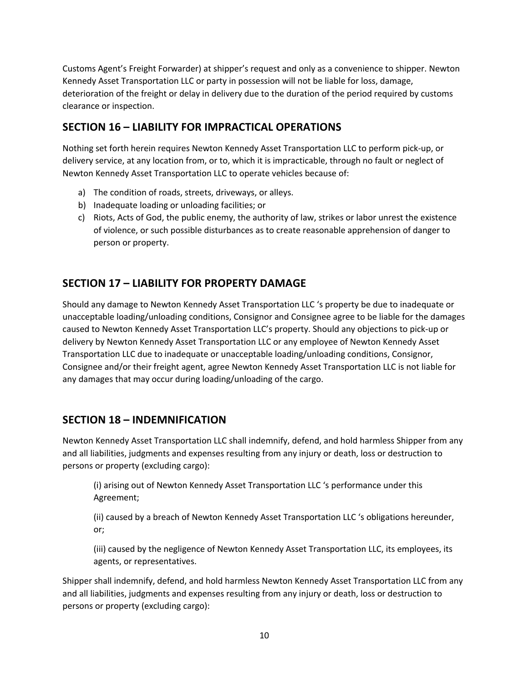Customs Agent's Freight Forwarder) at shipper's request and only as a convenience to shipper. Newton Kennedy Asset Transportation LLC or party in possession will not be liable for loss, damage, deterioration of the freight or delay in delivery due to the duration of the period required by customs clearance or inspection.

## **SECTION 16 – LIABILITY FOR IMPRACTICAL OPERATIONS**

Nothing set forth herein requires Newton Kennedy Asset Transportation LLC to perform pick-up, or delivery service, at any location from, or to, which it is impracticable, through no fault or neglect of Newton Kennedy Asset Transportation LLC to operate vehicles because of:

- a) The condition of roads, streets, driveways, or alleys.
- b) Inadequate loading or unloading facilities; or
- c) Riots, Acts of God, the public enemy, the authority of law, strikes or labor unrest the existence of violence, or such possible disturbances as to create reasonable apprehension of danger to person or property.

## **SECTION 17 – LIABILITY FOR PROPERTY DAMAGE**

Should any damage to Newton Kennedy Asset Transportation LLC 's property be due to inadequate or unacceptable loading/unloading conditions, Consignor and Consignee agree to be liable for the damages caused to Newton Kennedy Asset Transportation LLC's property. Should any objections to pick-up or delivery by Newton Kennedy Asset Transportation LLC or any employee of Newton Kennedy Asset Transportation LLC due to inadequate or unacceptable loading/unloading conditions, Consignor, Consignee and/or their freight agent, agree Newton Kennedy Asset Transportation LLC is not liable for any damages that may occur during loading/unloading of the cargo.

#### **SECTION 18 – INDEMNIFICATION**

Newton Kennedy Asset Transportation LLC shall indemnify, defend, and hold harmless Shipper from any and all liabilities, judgments and expenses resulting from any injury or death, loss or destruction to persons or property (excluding cargo):

(i) arising out of Newton Kennedy Asset Transportation LLC 's performance under this Agreement;

(ii) caused by a breach of Newton Kennedy Asset Transportation LLC 's obligations hereunder, or;

(iii) caused by the negligence of Newton Kennedy Asset Transportation LLC, its employees, its agents, or representatives.

Shipper shall indemnify, defend, and hold harmless Newton Kennedy Asset Transportation LLC from any and all liabilities, judgments and expenses resulting from any injury or death, loss or destruction to persons or property (excluding cargo):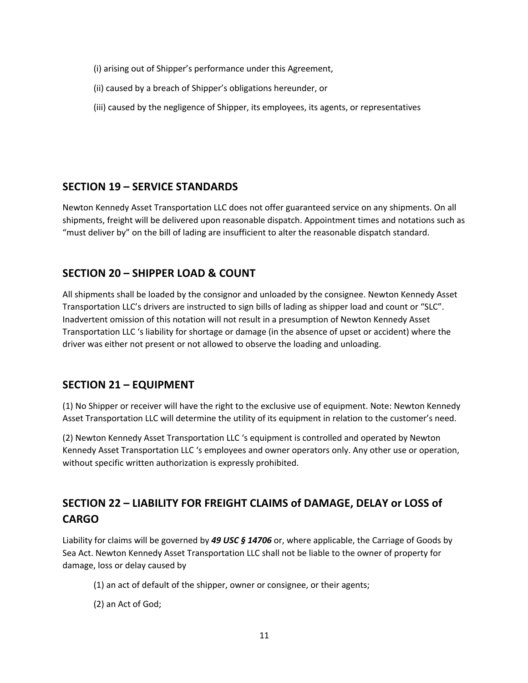- (i) arising out of Shipper's performance under this Agreement,
- (ii) caused by a breach of Shipper's obligations hereunder, or
- (iii) caused by the negligence of Shipper, its employees, its agents, or representatives

#### **SECTION 19 – SERVICE STANDARDS**

Newton Kennedy Asset Transportation LLC does not offer guaranteed service on any shipments. On all shipments, freight will be delivered upon reasonable dispatch. Appointment times and notations such as "must deliver by" on the bill of lading are insufficient to alter the reasonable dispatch standard.

## **SECTION 20 – SHIPPER LOAD & COUNT**

All shipments shall be loaded by the consignor and unloaded by the consignee. Newton Kennedy Asset Transportation LLC's drivers are instructed to sign bills of lading as shipper load and count or "SLC". Inadvertent omission of this notation will not result in a presumption of Newton Kennedy Asset Transportation LLC 's liability for shortage or damage (in the absence of upset or accident) where the driver was either not present or not allowed to observe the loading and unloading.

#### **SECTION 21 – EQUIPMENT**

(1) No Shipper or receiver will have the right to the exclusive use of equipment. Note: Newton Kennedy Asset Transportation LLC will determine the utility of its equipment in relation to the customer's need.

(2) Newton Kennedy Asset Transportation LLC 's equipment is controlled and operated by Newton Kennedy Asset Transportation LLC 's employees and owner operators only. Any other use or operation, without specific written authorization is expressly prohibited.

# **SECTION 22 – LIABILITY FOR FREIGHT CLAIMS of DAMAGE, DELAY or LOSS of CARGO**

Liability for claims will be governed by *49 USC § 14706* or, where applicable, the Carriage of Goods by Sea Act. Newton Kennedy Asset Transportation LLC shall not be liable to the owner of property for damage, loss or delay caused by

- (1) an act of default of the shipper, owner or consignee, or their agents;
- (2) an Act of God;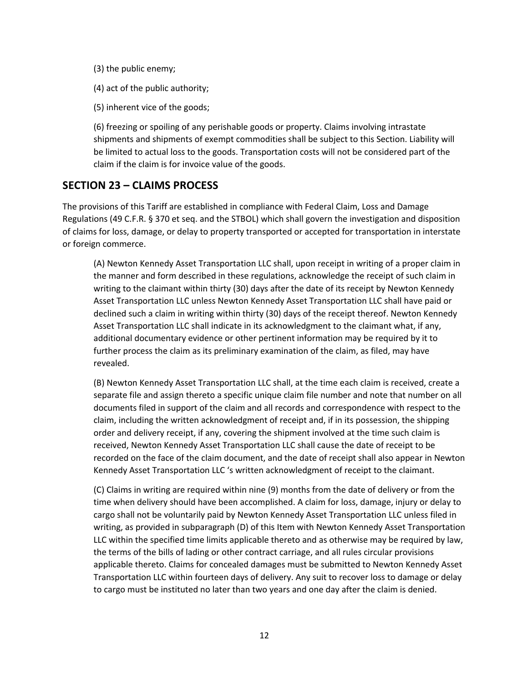- (3) the public enemy;
- (4) act of the public authority;
- (5) inherent vice of the goods;

(6) freezing or spoiling of any perishable goods or property. Claims involving intrastate shipments and shipments of exempt commodities shall be subject to this Section. Liability will be limited to actual loss to the goods. Transportation costs will not be considered part of the claim if the claim is for invoice value of the goods.

#### **SECTION 23 – CLAIMS PROCESS**

The provisions of this Tariff are established in compliance with Federal Claim, Loss and Damage Regulations (49 C.F.R. § 370 et seq. and the STBOL) which shall govern the investigation and disposition of claims for loss, damage, or delay to property transported or accepted for transportation in interstate or foreign commerce.

(A) Newton Kennedy Asset Transportation LLC shall, upon receipt in writing of a proper claim in the manner and form described in these regulations, acknowledge the receipt of such claim in writing to the claimant within thirty (30) days after the date of its receipt by Newton Kennedy Asset Transportation LLC unless Newton Kennedy Asset Transportation LLC shall have paid or declined such a claim in writing within thirty (30) days of the receipt thereof. Newton Kennedy Asset Transportation LLC shall indicate in its acknowledgment to the claimant what, if any, additional documentary evidence or other pertinent information may be required by it to further process the claim as its preliminary examination of the claim, as filed, may have revealed.

(B) Newton Kennedy Asset Transportation LLC shall, at the time each claim is received, create a separate file and assign thereto a specific unique claim file number and note that number on all documents filed in support of the claim and all records and correspondence with respect to the claim, including the written acknowledgment of receipt and, if in its possession, the shipping order and delivery receipt, if any, covering the shipment involved at the time such claim is received, Newton Kennedy Asset Transportation LLC shall cause the date of receipt to be recorded on the face of the claim document, and the date of receipt shall also appear in Newton Kennedy Asset Transportation LLC 's written acknowledgment of receipt to the claimant.

(C) Claims in writing are required within nine (9) months from the date of delivery or from the time when delivery should have been accomplished. A claim for loss, damage, injury or delay to cargo shall not be voluntarily paid by Newton Kennedy Asset Transportation LLC unless filed in writing, as provided in subparagraph (D) of this Item with Newton Kennedy Asset Transportation LLC within the specified time limits applicable thereto and as otherwise may be required by law, the terms of the bills of lading or other contract carriage, and all rules circular provisions applicable thereto. Claims for concealed damages must be submitted to Newton Kennedy Asset Transportation LLC within fourteen days of delivery. Any suit to recover loss to damage or delay to cargo must be instituted no later than two years and one day after the claim is denied.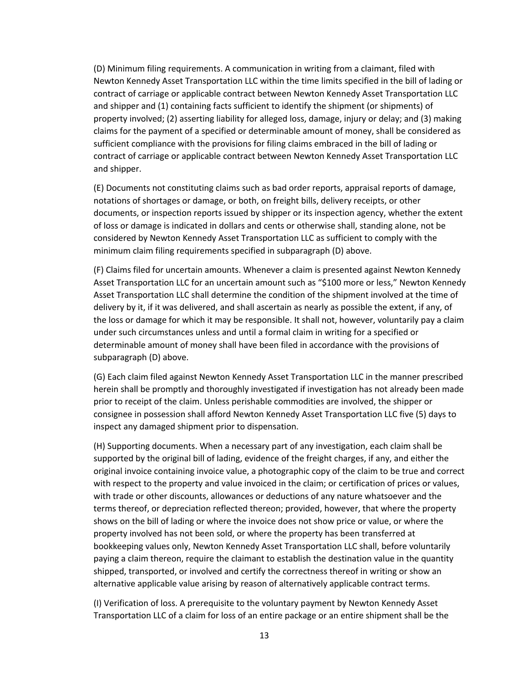(D) Minimum filing requirements. A communication in writing from a claimant, filed with Newton Kennedy Asset Transportation LLC within the time limits specified in the bill of lading or contract of carriage or applicable contract between Newton Kennedy Asset Transportation LLC and shipper and (1) containing facts sufficient to identify the shipment (or shipments) of property involved; (2) asserting liability for alleged loss, damage, injury or delay; and (3) making claims for the payment of a specified or determinable amount of money, shall be considered as sufficient compliance with the provisions for filing claims embraced in the bill of lading or contract of carriage or applicable contract between Newton Kennedy Asset Transportation LLC and shipper.

(E) Documents not constituting claims such as bad order reports, appraisal reports of damage, notations of shortages or damage, or both, on freight bills, delivery receipts, or other documents, or inspection reports issued by shipper or its inspection agency, whether the extent of loss or damage is indicated in dollars and cents or otherwise shall, standing alone, not be considered by Newton Kennedy Asset Transportation LLC as sufficient to comply with the minimum claim filing requirements specified in subparagraph (D) above.

(F) Claims filed for uncertain amounts. Whenever a claim is presented against Newton Kennedy Asset Transportation LLC for an uncertain amount such as "\$100 more or less," Newton Kennedy Asset Transportation LLC shall determine the condition of the shipment involved at the time of delivery by it, if it was delivered, and shall ascertain as nearly as possible the extent, if any, of the loss or damage for which it may be responsible. It shall not, however, voluntarily pay a claim under such circumstances unless and until a formal claim in writing for a specified or determinable amount of money shall have been filed in accordance with the provisions of subparagraph (D) above.

(G) Each claim filed against Newton Kennedy Asset Transportation LLC in the manner prescribed herein shall be promptly and thoroughly investigated if investigation has not already been made prior to receipt of the claim. Unless perishable commodities are involved, the shipper or consignee in possession shall afford Newton Kennedy Asset Transportation LLC five (5) days to inspect any damaged shipment prior to dispensation.

(H) Supporting documents. When a necessary part of any investigation, each claim shall be supported by the original bill of lading, evidence of the freight charges, if any, and either the original invoice containing invoice value, a photographic copy of the claim to be true and correct with respect to the property and value invoiced in the claim; or certification of prices or values, with trade or other discounts, allowances or deductions of any nature whatsoever and the terms thereof, or depreciation reflected thereon; provided, however, that where the property shows on the bill of lading or where the invoice does not show price or value, or where the property involved has not been sold, or where the property has been transferred at bookkeeping values only, Newton Kennedy Asset Transportation LLC shall, before voluntarily paying a claim thereon, require the claimant to establish the destination value in the quantity shipped, transported, or involved and certify the correctness thereof in writing or show an alternative applicable value arising by reason of alternatively applicable contract terms.

(I) Verification of loss. A prerequisite to the voluntary payment by Newton Kennedy Asset Transportation LLC of a claim for loss of an entire package or an entire shipment shall be the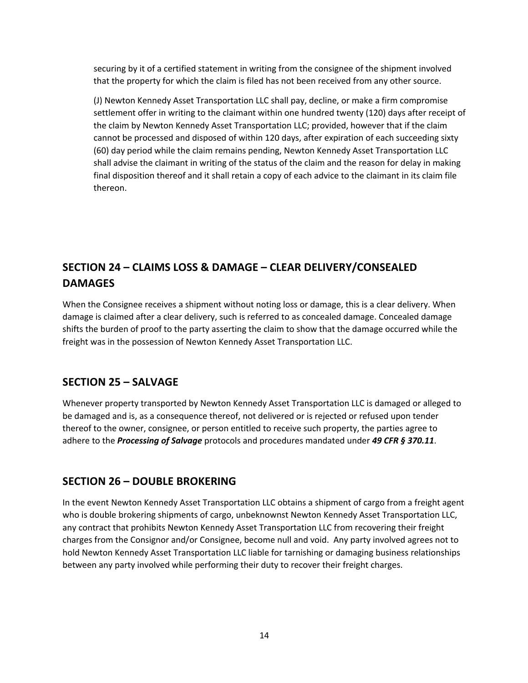securing by it of a certified statement in writing from the consignee of the shipment involved that the property for which the claim is filed has not been received from any other source.

(J) Newton Kennedy Asset Transportation LLC shall pay, decline, or make a firm compromise settlement offer in writing to the claimant within one hundred twenty (120) days after receipt of the claim by Newton Kennedy Asset Transportation LLC; provided, however that if the claim cannot be processed and disposed of within 120 days, after expiration of each succeeding sixty (60) day period while the claim remains pending, Newton Kennedy Asset Transportation LLC shall advise the claimant in writing of the status of the claim and the reason for delay in making final disposition thereof and it shall retain a copy of each advice to the claimant in its claim file thereon.

# **SECTION 24 – CLAIMS LOSS & DAMAGE – CLEAR DELIVERY/CONSEALED DAMAGES**

When the Consignee receives a shipment without noting loss or damage, this is a clear delivery. When damage is claimed after a clear delivery, such is referred to as concealed damage. Concealed damage shifts the burden of proof to the party asserting the claim to show that the damage occurred while the freight was in the possession of Newton Kennedy Asset Transportation LLC.

#### **SECTION 25 – SALVAGE**

Whenever property transported by Newton Kennedy Asset Transportation LLC is damaged or alleged to be damaged and is, as a consequence thereof, not delivered or is rejected or refused upon tender thereof to the owner, consignee, or person entitled to receive such property, the parties agree to adhere to the *Processing of Salvage* protocols and procedures mandated under *49 CFR § 370.11*.

#### **SECTION 26 – DOUBLE BROKERING**

In the event Newton Kennedy Asset Transportation LLC obtains a shipment of cargo from a freight agent who is double brokering shipments of cargo, unbeknownst Newton Kennedy Asset Transportation LLC, any contract that prohibits Newton Kennedy Asset Transportation LLC from recovering their freight charges from the Consignor and/or Consignee, become null and void. Any party involved agrees not to hold Newton Kennedy Asset Transportation LLC liable for tarnishing or damaging business relationships between any party involved while performing their duty to recover their freight charges.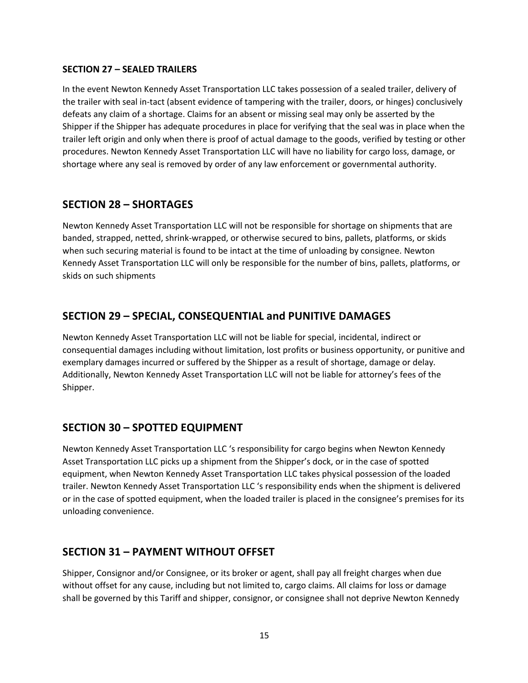#### **SECTION 27 – SEALED TRAILERS**

In the event Newton Kennedy Asset Transportation LLC takes possession of a sealed trailer, delivery of the trailer with seal in-tact (absent evidence of tampering with the trailer, doors, or hinges) conclusively defeats any claim of a shortage. Claims for an absent or missing seal may only be asserted by the Shipper if the Shipper has adequate procedures in place for verifying that the seal was in place when the trailer left origin and only when there is proof of actual damage to the goods, verified by testing or other procedures. Newton Kennedy Asset Transportation LLC will have no liability for cargo loss, damage, or shortage where any seal is removed by order of any law enforcement or governmental authority.

#### **SECTION 28 – SHORTAGES**

Newton Kennedy Asset Transportation LLC will not be responsible for shortage on shipments that are banded, strapped, netted, shrink-wrapped, or otherwise secured to bins, pallets, platforms, or skids when such securing material is found to be intact at the time of unloading by consignee. Newton Kennedy Asset Transportation LLC will only be responsible for the number of bins, pallets, platforms, or skids on such shipments

## **SECTION 29 – SPECIAL, CONSEQUENTIAL and PUNITIVE DAMAGES**

Newton Kennedy Asset Transportation LLC will not be liable for special, incidental, indirect or consequential damages including without limitation, lost profits or business opportunity, or punitive and exemplary damages incurred or suffered by the Shipper as a result of shortage, damage or delay. Additionally, Newton Kennedy Asset Transportation LLC will not be liable for attorney's fees of the Shipper.

#### **SECTION 30 – SPOTTED EQUIPMENT**

Newton Kennedy Asset Transportation LLC 's responsibility for cargo begins when Newton Kennedy Asset Transportation LLC picks up a shipment from the Shipper's dock, or in the case of spotted equipment, when Newton Kennedy Asset Transportation LLC takes physical possession of the loaded trailer. Newton Kennedy Asset Transportation LLC 's responsibility ends when the shipment is delivered or in the case of spotted equipment, when the loaded trailer is placed in the consignee's premises for its unloading convenience.

#### **SECTION 31 – PAYMENT WITHOUT OFFSET**

Shipper, Consignor and/or Consignee, or its broker or agent, shall pay all freight charges when due without offset for any cause, including but not limited to, cargo claims. All claims for loss or damage shall be governed by this Tariff and shipper, consignor, or consignee shall not deprive Newton Kennedy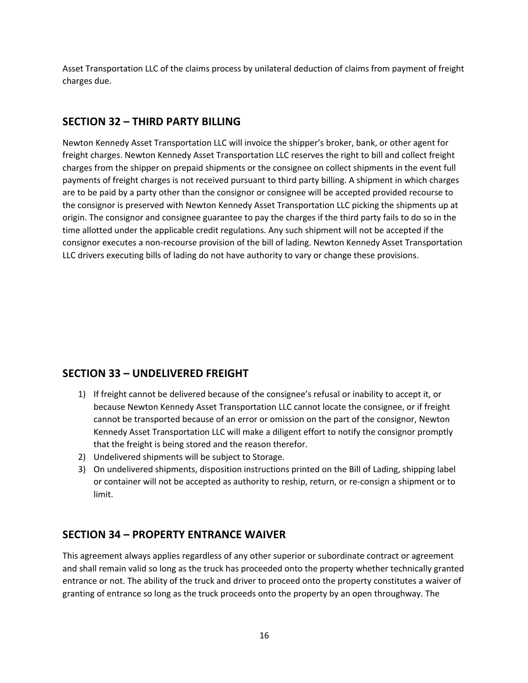Asset Transportation LLC of the claims process by unilateral deduction of claims from payment of freight charges due.

#### **SECTION 32 – THIRD PARTY BILLING**

Newton Kennedy Asset Transportation LLC will invoice the shipper's broker, bank, or other agent for freight charges. Newton Kennedy Asset Transportation LLC reserves the right to bill and collect freight charges from the shipper on prepaid shipments or the consignee on collect shipments in the event full payments of freight charges is not received pursuant to third party billing. A shipment in which charges are to be paid by a party other than the consignor or consignee will be accepted provided recourse to the consignor is preserved with Newton Kennedy Asset Transportation LLC picking the shipments up at origin. The consignor and consignee guarantee to pay the charges if the third party fails to do so in the time allotted under the applicable credit regulations. Any such shipment will not be accepted if the consignor executes a non-recourse provision of the bill of lading. Newton Kennedy Asset Transportation LLC drivers executing bills of lading do not have authority to vary or change these provisions.

#### **SECTION 33 – UNDELIVERED FREIGHT**

- 1) If freight cannot be delivered because of the consignee's refusal or inability to accept it, or because Newton Kennedy Asset Transportation LLC cannot locate the consignee, or if freight cannot be transported because of an error or omission on the part of the consignor, Newton Kennedy Asset Transportation LLC will make a diligent effort to notify the consignor promptly that the freight is being stored and the reason therefor.
- 2) Undelivered shipments will be subject to Storage.
- 3) On undelivered shipments, disposition instructions printed on the Bill of Lading, shipping label or container will not be accepted as authority to reship, return, or re-consign a shipment or to limit.

#### **SECTION 34 – PROPERTY ENTRANCE WAIVER**

This agreement always applies regardless of any other superior or subordinate contract or agreement and shall remain valid so long as the truck has proceeded onto the property whether technically granted entrance or not. The ability of the truck and driver to proceed onto the property constitutes a waiver of granting of entrance so long as the truck proceeds onto the property by an open throughway. The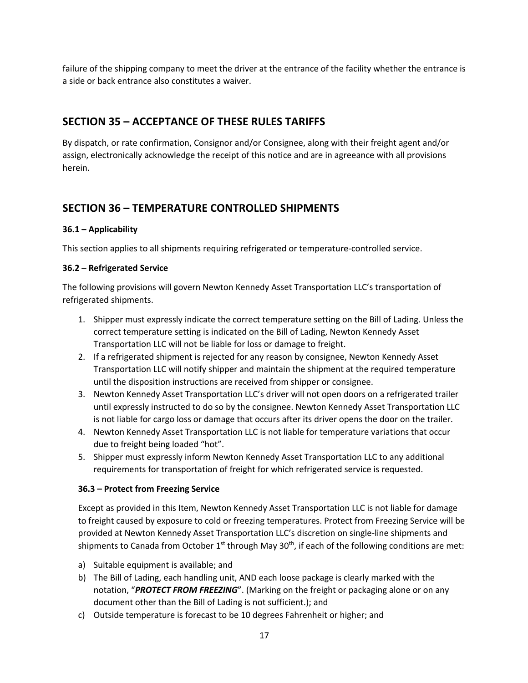failure of the shipping company to meet the driver at the entrance of the facility whether the entrance is a side or back entrance also constitutes a waiver.

#### **SECTION 35 – ACCEPTANCE OF THESE RULES TARIFFS**

By dispatch, or rate confirmation, Consignor and/or Consignee, along with their freight agent and/or assign, electronically acknowledge the receipt of this notice and are in agreeance with all provisions herein.

## **SECTION 36 – TEMPERATURE CONTROLLED SHIPMENTS**

#### **36.1 – Applicability**

This section applies to all shipments requiring refrigerated or temperature-controlled service.

#### **36.2 – Refrigerated Service**

The following provisions will govern Newton Kennedy Asset Transportation LLC's transportation of refrigerated shipments.

- 1. Shipper must expressly indicate the correct temperature setting on the Bill of Lading. Unless the correct temperature setting is indicated on the Bill of Lading, Newton Kennedy Asset Transportation LLC will not be liable for loss or damage to freight.
- 2. If a refrigerated shipment is rejected for any reason by consignee, Newton Kennedy Asset Transportation LLC will notify shipper and maintain the shipment at the required temperature until the disposition instructions are received from shipper or consignee.
- 3. Newton Kennedy Asset Transportation LLC's driver will not open doors on a refrigerated trailer until expressly instructed to do so by the consignee. Newton Kennedy Asset Transportation LLC is not liable for cargo loss or damage that occurs after its driver opens the door on the trailer.
- 4. Newton Kennedy Asset Transportation LLC is not liable for temperature variations that occur due to freight being loaded "hot".
- 5. Shipper must expressly inform Newton Kennedy Asset Transportation LLC to any additional requirements for transportation of freight for which refrigerated service is requested.

#### **36.3 – Protect from Freezing Service**

Except as provided in this Item, Newton Kennedy Asset Transportation LLC is not liable for damage to freight caused by exposure to cold or freezing temperatures. Protect from Freezing Service will be provided at Newton Kennedy Asset Transportation LLC's discretion on single-line shipments and shipments to Canada from October  $1<sup>st</sup>$  through May 30<sup>th</sup>, if each of the following conditions are met:

- a) Suitable equipment is available; and
- b) The Bill of Lading, each handling unit, AND each loose package is clearly marked with the notation, "*PROTECT FROM FREEZING*". (Marking on the freight or packaging alone or on any document other than the Bill of Lading is not sufficient.); and
- c) Outside temperature is forecast to be 10 degrees Fahrenheit or higher; and